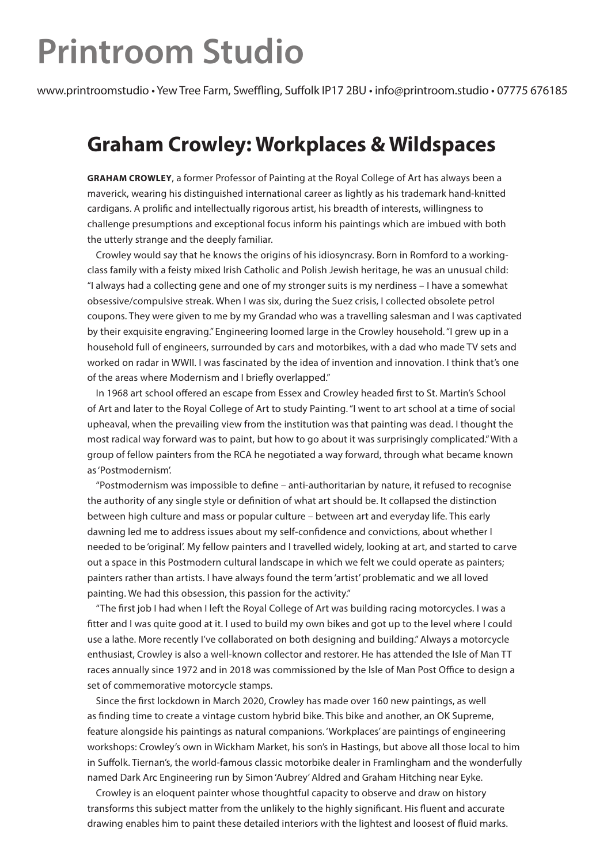## **Printroom Studio**

www.printroomstudio • Yew Tree Farm, Sweffling, Suffolk IP17 2BU • info@printroom.studio • 07775 676185

## **Graham Crowley: Workplaces & Wildspaces**

**GRAHAM CROWLEY**, a former Professor of Painting at the Royal College of Art has always been a maverick, wearing his distinguished international career as lightly as his trademark hand-knitted cardigans. A prolific and intellectually rigorous artist, his breadth of interests, willingness to challenge presumptions and exceptional focus inform his paintings which are imbued with both the utterly strange and the deeply familiar.

Crowley would say that he knows the origins of his idiosyncrasy. Born in Romford to a workingclass family with a feisty mixed Irish Catholic and Polish Jewish heritage, he was an unusual child: "I always had a collecting gene and one of my stronger suits is my nerdiness – I have a somewhat obsessive/compulsive streak. When I was six, during the Suez crisis, I collected obsolete petrol coupons. They were given to me by my Grandad who was a travelling salesman and I was captivated by their exquisite engraving." Engineering loomed large in the Crowley household. "I grew up in a household full of engineers, surrounded by cars and motorbikes, with a dad who made TV sets and worked on radar in WWII. I was fascinated by the idea of invention and innovation. I think that's one of the areas where Modernism and I briefly overlapped."

In 1968 art school offered an escape from Essex and Crowley headed first to St. Martin's School of Art and later to the Royal College of Art to study Painting. "I went to art school at a time of social upheaval, when the prevailing view from the institution was that painting was dead. I thought the most radical way forward was to paint, but how to go about it was surprisingly complicated." With a group of fellow painters from the RCA he negotiated a way forward, through what became known as 'Postmodernism'.

"Postmodernism was impossible to define – anti-authoritarian by nature, it refused to recognise the authority of any single style or definition of what art should be. It collapsed the distinction between high culture and mass or popular culture – between art and everyday life. This early dawning led me to address issues about my self-confidence and convictions, about whether I needed to be 'original'. My fellow painters and I travelled widely, looking at art, and started to carve out a space in this Postmodern cultural landscape in which we felt we could operate as painters; painters rather than artists. I have always found the term 'artist' problematic and we all loved painting. We had this obsession, this passion for the activity."

"The first job I had when I left the Royal College of Art was building racing motorcycles. I was a fitter and I was quite good at it. I used to build my own bikes and got up to the level where I could use a lathe. More recently I've collaborated on both designing and building." Always a motorcycle enthusiast, Crowley is also a well-known collector and restorer. He has attended the Isle of Man TT races annually since 1972 and in 2018 was commissioned by the Isle of Man Post Office to design a set of commemorative motorcycle stamps.

Since the first lockdown in March 2020, Crowley has made over 160 new paintings, as well as finding time to create a vintage custom hybrid bike. This bike and another, an OK Supreme, feature alongside his paintings as natural companions. 'Workplaces' are paintings of engineering workshops: Crowley's own in Wickham Market, his son's in Hastings, but above all those local to him in Suffolk. Tiernan's, the world-famous classic motorbike dealer in Framlingham and the wonderfully named Dark Arc Engineering run by Simon 'Aubrey' Aldred and Graham Hitching near Eyke.

Crowley is an eloquent painter whose thoughtful capacity to observe and draw on history transforms this subject matter from the unlikely to the highly significant. His fluent and accurate drawing enables him to paint these detailed interiors with the lightest and loosest of fluid marks.